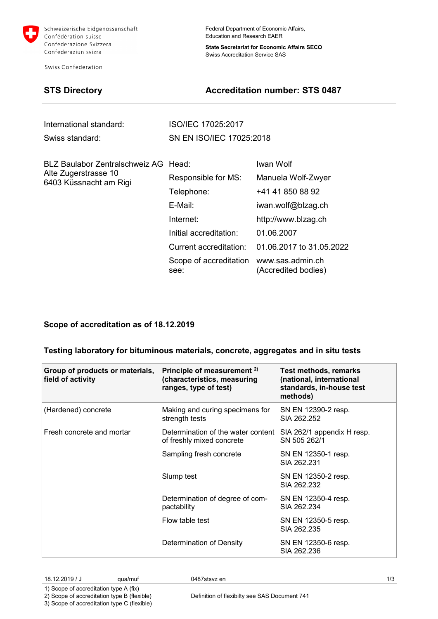

Schweizerische Eidgenossenschaft Confédération suisse Confederazione Svizzera Confederaziun svizra

Swiss Confederation

Federal Department of Economic Affairs, Education and Research EAER

**State Secretariat for Economic Affairs SECO** Swiss Accreditation Service SAS

## **STS Directory Accreditation number: STS 0487**

| International standard:                        | ISO/IEC 17025:2017             |                                         |  |
|------------------------------------------------|--------------------------------|-----------------------------------------|--|
| Swiss standard:                                | SN EN ISO/IEC 17025:2018       |                                         |  |
| BLZ Baulabor Zentralschweiz AG Head:           |                                | Iwan Wolf                               |  |
| Alte Zugerstrasse 10<br>6403 Küssnacht am Rigi | Responsible for MS:            | Manuela Wolf-Zwyer                      |  |
|                                                | Telephone:                     | +41 41 850 88 92                        |  |
|                                                | E-Mail:                        | iwan.wolf@blzag.ch                      |  |
|                                                | Internet:                      | http://www.blzag.ch                     |  |
|                                                | Initial accreditation:         | 01.06.2007                              |  |
|                                                | Current accreditation:         | 01.06.2017 to 31.05.2022                |  |
|                                                | Scope of accreditation<br>see: | www.sas.admin.ch<br>(Accredited bodies) |  |

## **Scope of accreditation as of 18.12.2019**

### **Testing laboratory for bituminous materials, concrete, aggregates and in situ tests**

| Group of products or materials,<br>field of activity | Principle of measurement <sup>2)</sup><br>(characteristics, measuring<br>ranges, type of test) | <b>Test methods, remarks</b><br>(national, international<br>standards, in-house test<br>methods) |
|------------------------------------------------------|------------------------------------------------------------------------------------------------|--------------------------------------------------------------------------------------------------|
| (Hardened) concrete                                  | Making and curing specimens for<br>strength tests                                              | SN EN 12390-2 resp.<br>SIA 262.252                                                               |
| Fresh concrete and mortar                            | Determination of the water content<br>of freshly mixed concrete                                | SIA 262/1 appendix H resp.<br>SN 505 262/1                                                       |
|                                                      | Sampling fresh concrete                                                                        | SN EN 12350-1 resp.<br>SIA 262.231                                                               |
|                                                      | Slump test                                                                                     | SN EN 12350-2 resp.<br>SIA 262.232                                                               |
|                                                      | Determination of degree of com-<br>pactability                                                 | SN EN 12350-4 resp.<br>SIA 262.234                                                               |
|                                                      | Flow table test                                                                                | SN EN 12350-5 resp.<br>SIA 262.235                                                               |
|                                                      | Determination of Density                                                                       | SN EN 12350-6 resp.<br>SIA 262.236                                                               |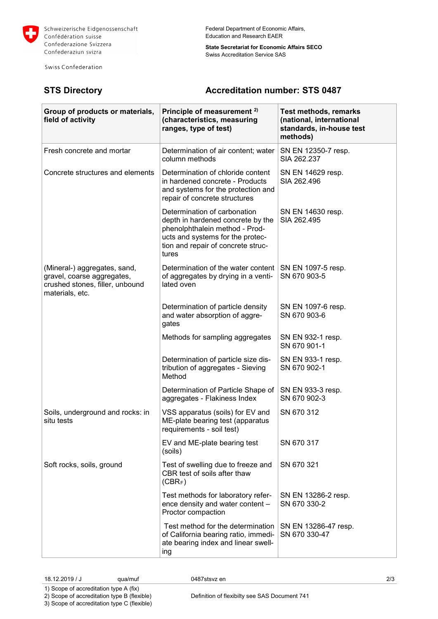

Swiss Confederation

Federal Department of Economic Affairs, Education and Research EAER

**State Secretariat for Economic Affairs SECO** Swiss Accreditation Service SAS

# **STS Directory Accreditation number: STS 0487**

| Group of products or materials,<br>field of activity                                                             | Principle of measurement <sup>2)</sup><br>(characteristics, measuring<br>ranges, type of test)                                                                                         | Test methods, remarks<br>(national, international<br>standards, in-house test<br>methods) |
|------------------------------------------------------------------------------------------------------------------|----------------------------------------------------------------------------------------------------------------------------------------------------------------------------------------|-------------------------------------------------------------------------------------------|
| Fresh concrete and mortar                                                                                        | Determination of air content; water<br>column methods                                                                                                                                  | SN EN 12350-7 resp.<br>SIA 262.237                                                        |
| Concrete structures and elements                                                                                 | Determination of chloride content<br>in hardened concrete - Products<br>and systems for the protection and<br>repair of concrete structures                                            | SN EN 14629 resp.<br>SIA 262.496                                                          |
|                                                                                                                  | Determination of carbonation<br>depth in hardened concrete by the<br>phenolphthalein method - Prod-<br>ucts and systems for the protec-<br>tion and repair of concrete struc-<br>tures | SN EN 14630 resp.<br>SIA 262.495                                                          |
| (Mineral-) aggregates, sand,<br>gravel, coarse aggregates,<br>crushed stones, filler, unbound<br>materials, etc. | Determination of the water content<br>of aggregates by drying in a venti-<br>lated oven                                                                                                | SN EN 1097-5 resp.<br>SN 670 903-5                                                        |
|                                                                                                                  | Determination of particle density<br>and water absorption of aggre-<br>gates                                                                                                           | SN EN 1097-6 resp.<br>SN 670 903-6                                                        |
|                                                                                                                  | Methods for sampling aggregates                                                                                                                                                        | SN EN 932-1 resp.<br>SN 670 901-1                                                         |
|                                                                                                                  | Determination of particle size dis-<br>tribution of aggregates - Sieving<br>Method                                                                                                     | SN EN 933-1 resp.<br>SN 670 902-1                                                         |
|                                                                                                                  | Determination of Particle Shape of<br>aggregates - Flakiness Index                                                                                                                     | SN EN 933-3 resp.<br>SN 670 902-3                                                         |
| Soils, underground and rocks: in<br>situ tests                                                                   | VSS apparatus (soils) for EV and<br>ME-plate bearing test (apparatus<br>requirements - soil test)                                                                                      | SN 670 312                                                                                |
|                                                                                                                  | EV and ME-plate bearing test<br>(soils)                                                                                                                                                | SN 670 317                                                                                |
| Soft rocks, soils, ground                                                                                        | Test of swelling due to freeze and<br>CBR test of soils after thaw<br>$(CBR_F)$                                                                                                        | SN 670 321                                                                                |
|                                                                                                                  | Test methods for laboratory refer-<br>ence density and water content -<br>Proctor compaction                                                                                           | SN EN 13286-2 resp.<br>SN 670 330-2                                                       |
|                                                                                                                  | Test method for the determination<br>of California bearing ratio, immedi-<br>ate bearing index and linear swell-<br>ing                                                                | SN EN 13286-47 resp.<br>SN 670 330-47                                                     |

1) Scope of accreditation type A (fix) 2) Scope of accreditation type B (flexible)